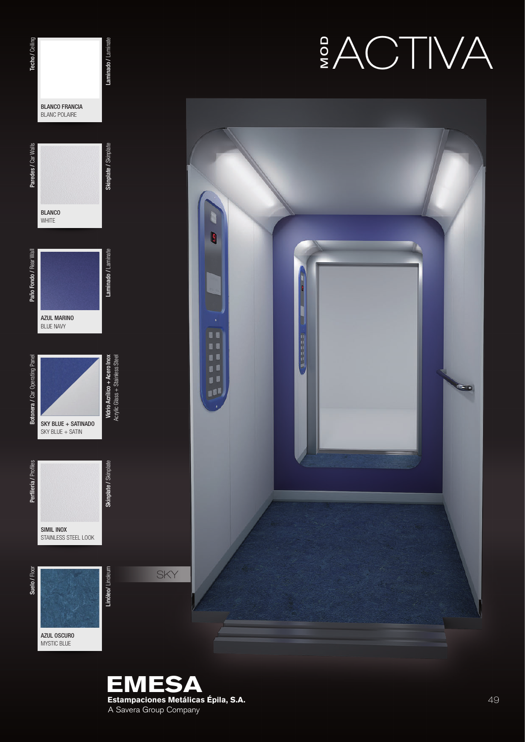





Botonera / Car Operating Panel

Botonera / Car Operating Panel

Suelo / Floor Perfileria / Profiles Botonera / Car Operating Pared / Cear Dear Malls Paredes / Car Walls Perfilering Paredes / Car Walls Techo / Cering / Celing

AZUL MARINO BLUE NAVY

Paño Fondo / Rear Wall

Paño Fondo / Rear Wall

Paredes / Car Walls

**BLANCO** WHITE

BLANCO FRANCIA BLANC POLAIRE

Techo / Ceiling

Skinplate / Skinplate

Skinplate / Skinplate

Laminado / Laminate

Laminado / Laminate

Laminado / Laminate

Linóleo/ Linoleum akinplate / Skinplate / Skinplate / Laminato / Laminado / Laminado / Laminado / Laminate / Skinplate / Skinplate / Skinplate / Laminado / Laminate / Laminate / Laminate / Laminate / Laminate / Laminate /

Vidrio Acrílico + Acero Inox

Skinplate / Skinplate

Skinplate / Skinplate

Linóleo/ Linoleum

Perfilería / Profiles

Perfilería / Profiles

Suelo / Floor

AZUL OSCURO MYSTIC BLUE

SIMIL INOX STAINLESS STEEL LOOK

SKY BLUE + SATINADO SKY BLUE + SATIN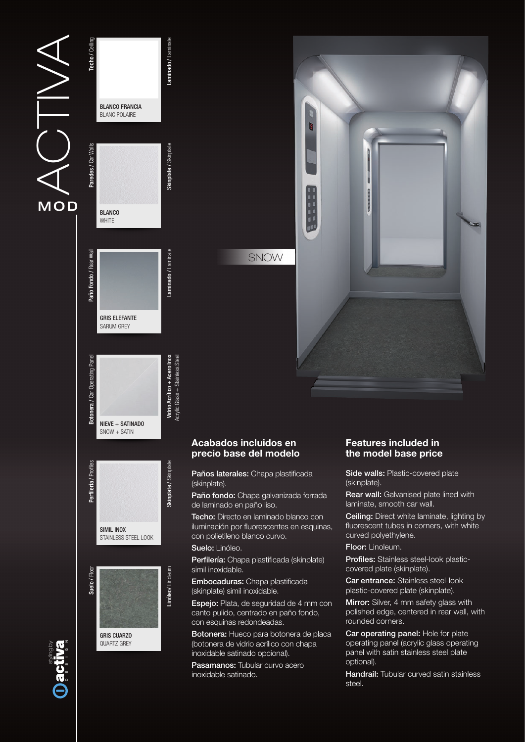# $\frac{2}{\sqrt{2}}$ **MOD**





## Acabados incluidos en precio base del modelo

Paños laterales: Chapa plastificada (skinplate).

Paño fondo: Chapa galvanizada forrada de laminado en paño liso.

Techo: Directo en laminado blanco con iluminación por fluorescentes en esquinas, con polietileno blanco curvo.

Suelo: Linóleo.

Perfilería: Chapa plastificada (skinplate) simil inoxidable.

Embocaduras: Chapa plastificada (skinplate) simil inoxidable.

Espejo: Plata, de seguridad de 4 mm con canto pulido, centrado en paño fondo, con esquinas redondeadas.

Botonera: Hueco para botonera de placa (botonera de vidrio acrílico con chapa inoxidable satinado opcional).

Pasamanos: Tubular curvo acero inoxidable satinado.

## Features included in the model base price

Side walls: Plastic-covered plate (skinplate).

Rear wall: Galvanised plate lined with laminate, smooth car wall.

Ceiling: Direct white laminate, lighting by fluorescent tubes in corners, with white curved polyethylene.

Floor: Linoleum.

Profiles: Stainless steel-look plasticcovered plate (skinplate).

Car entrance: Stainless steel-look plastic-covered plate (skinplate).

**Mirror:** Silver, 4 mm safety glass with polished edge, centered in rear wall, with rounded corners.

Car operating panel: Hole for plate operating panel (acrylic glass operating panel with satin stainless steel plate optional).

**Handrail:** Tubular curved satin stainless steel.

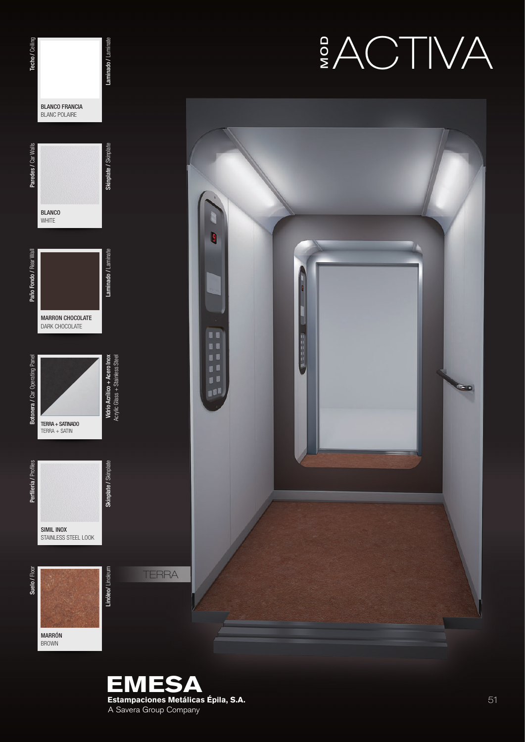





Techo / Ceiling

Laminado / Laminate

BROWN